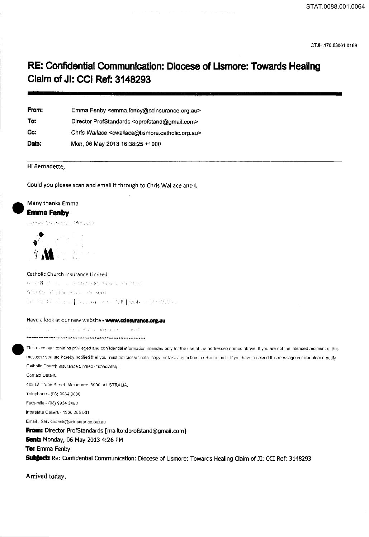## **RE: Confidential Communication: Diocese of Lismore: Towards Healing Claim of Jl: CCI Ref: 3148293**

| From: | Emma Fenby <emma.fenby@ccinsurance.org.au></emma.fenby@ccinsurance.org.au>          |
|-------|-------------------------------------------------------------------------------------|
| To:   | Director ProfStandards <dprofstand@gmail.com></dprofstand@gmail.com>                |
| Cc:   | Chris Wallace <cwallace@lismore.catholic.org.au></cwallace@lismore.catholic.org.au> |
| Date: | Mon, 06 May 2013 16:38:25 +1000                                                     |

Hi Bernadette,

Could you please scan and email it through to Chris Wallace and I.

# • Many thanks Emma **EmmaFenby**

#### Catholic Church Insurance Limited

the met S and a discussion and Manuscript and Manuscript (Canadian). 1980 for 1984 to pour care start In 20030 (411) ( (12) an 2001/108 (3mb 614) 025925 (

#### Have a look at our new website • www.cdnsurance.org.au

Programmer of the region to re- $\tau_{\rm eff}$ 

This message contains privileged and confidential information intended only for the use of the addressee named above. If you are not the intended recipient of this message you are hereby notified that you must not disseminate, copy, or take any action in reliance on it. If you have received this message in error please notify Catholic Church insurance Limited immediately. Contact Details: 485 La Trobe Street. Melbourne. 3000. AUSTRALIA. Telephone- (03) 9934 3000 Facsimile- (03) 9934 3460 Interstate Callers - 1300 655 001 Email- Servicedesk@ccinsurance.org.au

**From:** Director Prof5tandards [mailto:dprofstand@gmail.com] **sent:** Monday, 06 May 2013 4:26 PM **To:** Emma Fenby Subject: Re: Confidential Communication: Diocese of Lismore: Towards Healing Claim of JI: CCI Ref: 3148293

Arrived today.